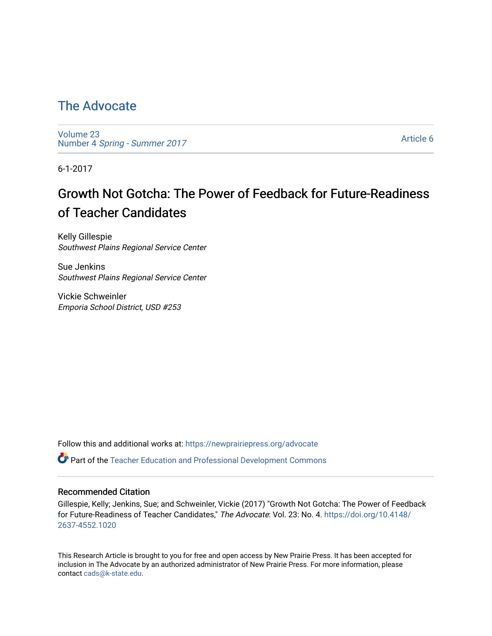## [The Advocate](https://newprairiepress.org/advocate)

[Volume 23](https://newprairiepress.org/advocate/vol23) Number 4 [Spring - Summer 2017](https://newprairiepress.org/advocate/vol23/iss4) 

[Article 6](https://newprairiepress.org/advocate/vol23/iss4/6) 

6-1-2017

# Growth Not Gotcha: The Power of Feedback for Future-Readiness of Teacher Candidates

Kelly Gillespie Southwest Plains Regional Service Center

Sue Jenkins Southwest Plains Regional Service Center

Vickie Schweinler Emporia School District, USD #253

Follow this and additional works at: [https://newprairiepress.org/advocate](https://newprairiepress.org/advocate?utm_source=newprairiepress.org%2Fadvocate%2Fvol23%2Fiss4%2F6&utm_medium=PDF&utm_campaign=PDFCoverPages) 

Part of the [Teacher Education and Professional Development Commons](http://network.bepress.com/hgg/discipline/803?utm_source=newprairiepress.org%2Fadvocate%2Fvol23%2Fiss4%2F6&utm_medium=PDF&utm_campaign=PDFCoverPages) 

## Recommended Citation

Gillespie, Kelly; Jenkins, Sue; and Schweinler, Vickie (2017) "Growth Not Gotcha: The Power of Feedback for Future-Readiness of Teacher Candidates," The Advocate: Vol. 23: No. 4. [https://doi.org/10.4148/](https://doi.org/10.4148/2637-4552.1020) [2637-4552.1020](https://doi.org/10.4148/2637-4552.1020) 

This Research Article is brought to you for free and open access by New Prairie Press. It has been accepted for inclusion in The Advocate by an authorized administrator of New Prairie Press. For more information, please contact [cads@k-state.edu](mailto:cads@k-state.edu).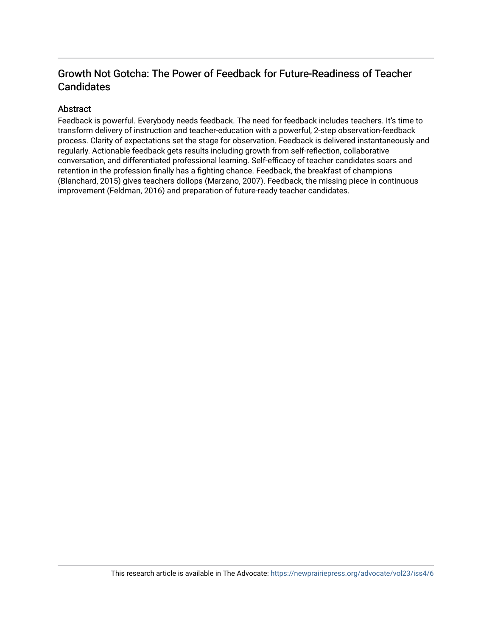## Growth Not Gotcha: The Power of Feedback for Future-Readiness of Teacher **Candidates**

## Abstract

Feedback is powerful. Everybody needs feedback. The need for feedback includes teachers. It's time to transform delivery of instruction and teacher-education with a powerful, 2-step observation-feedback process. Clarity of expectations set the stage for observation. Feedback is delivered instantaneously and regularly. Actionable feedback gets results including growth from self-reflection, collaborative conversation, and differentiated professional learning. Self-efficacy of teacher candidates soars and retention in the profession finally has a fighting chance. Feedback, the breakfast of champions (Blanchard, 2015) gives teachers dollops (Marzano, 2007). Feedback, the missing piece in continuous improvement (Feldman, 2016) and preparation of future-ready teacher candidates.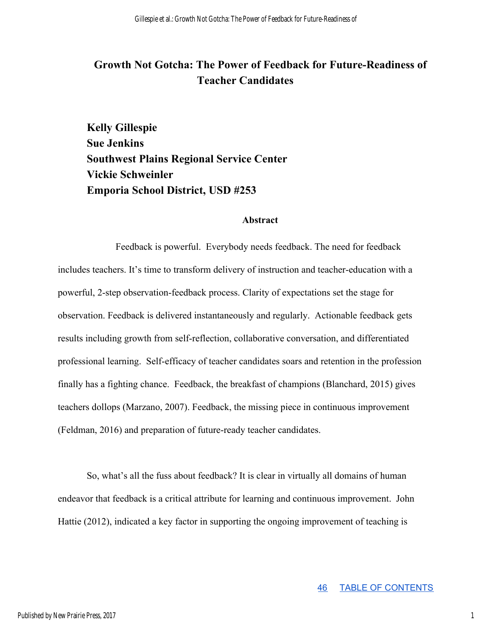## **Growth Not Gotcha: The Power of Feedback for Future-Readiness of Teacher Candidates**

**Kelly Gillespie Sue Jenkins Southwest Plains Regional Service Center Vickie Schweinler Emporia School District, USD #253** 

## **Abstract**

Feedback is powerful. Everybody needs feedback. The need for feedback includes teachers. It's time to transform delivery of instruction and teacher-education with a powerful, 2-step observation-feedback process. Clarity of expectations set the stage for observation. Feedback is delivered instantaneously and regularly. Actionable feedback gets results including growth from self-reflection, collaborative conversation, and differentiated professional learning. Self-efficacy of teacher candidates soars and retention in the profession finally has a fighting chance. Feedback, the breakfast of champions (Blanchard, 2015) gives teachers dollops (Marzano, 2007). Feedback, the missing piece in continuous improvement (Feldman, 2016) and preparation of future-ready teacher candidates.

So, what's all the fuss about feedback? It is clear in virtually all domains of human endeavor that feedback is a critical attribute for learning and continuous improvement. John Hattie (2012), indicated a key factor in supporting the ongoing improvement of teaching is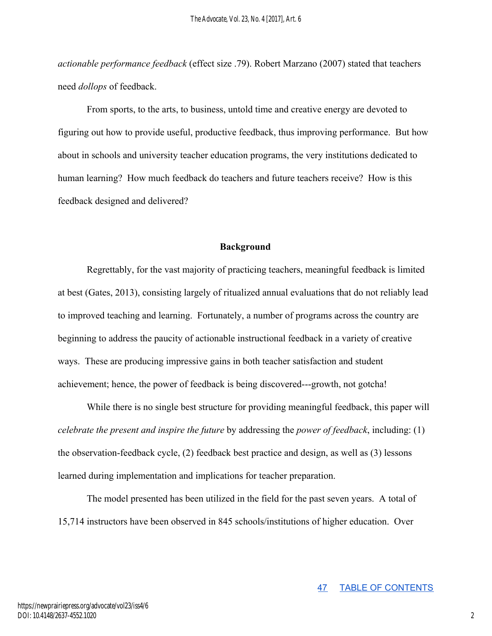*actionable performance feedback* (effect size .79). Robert Marzano (2007) stated that teachers need *dollops* of feedback.

From sports, to the arts, to business, untold time and creative energy are devoted to figuring out how to provide useful, productive feedback, thus improving performance. But how about in schools and university teacher education programs, the very institutions dedicated to human learning? How much feedback do teachers and future teachers receive? How is this feedback designed and delivered?

## **Background**

Regrettably, for the vast majority of practicing teachers, meaningful feedback is limited at best (Gates, 2013), consisting largely of ritualized annual evaluations that do not reliably lead to improved teaching and learning. Fortunately, a number of programs across the country are beginning to address the paucity of actionable instructional feedback in a variety of creative ways. These are producing impressive gains in both teacher satisfaction and student achievement; hence, the power of feedback is being discovered---growth, not gotcha!

While there is no single best structure for providing meaningful feedback, this paper will *celebrate the present and inspire the future* by addressing the *power of feedback*, including: (1) the observation-feedback cycle, (2) feedback best practice and design, as well as (3) lessons learned during implementation and implications for teacher preparation.

The model presented has been utilized in the field for the past seven years. A total of 15,714 instructors have been observed in 845 schools/institutions of higher education. Over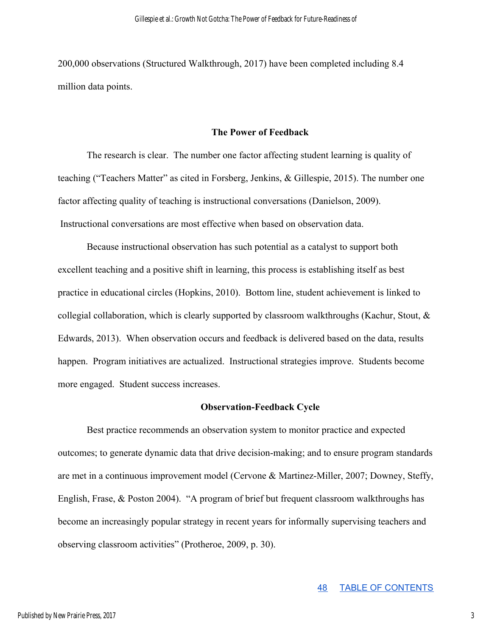200,000 observations (Structured Walkthrough, 2017) have been completed including 8.4 million data points.

## **The Power of Feedback**

The research is clear. The number one factor affecting student learning is quality of teaching ("Teachers Matter" as cited in Forsberg, Jenkins, & Gillespie, 2015). The number one factor affecting quality of teaching is instructional conversations (Danielson, 2009). Instructional conversations are most effective when based on observation data.

Because instructional observation has such potential as a catalyst to support both excellent teaching and a positive shift in learning, this process is establishing itself as best practice in educational circles (Hopkins, 2010). Bottom line, student achievement is linked to collegial collaboration, which is clearly supported by classroom walkthroughs (Kachur, Stout, & Edwards, 2013). When observation occurs and feedback is delivered based on the data, results happen. Program initiatives are actualized. Instructional strategies improve. Students become more engaged. Student success increases.

#### **Observation-Feedback Cycle**

Best practice recommends an observation system to monitor practice and expected outcomes; to generate dynamic data that drive decision-making; and to ensure program standards are met in a continuous improvement model (Cervone & Martinez-Miller, 2007; Downey, Steffy, English, Frase, & Poston 2004). "A program of brief but frequent classroom walkthroughs has become an increasingly popular strategy in recent years for informally supervising teachers and observing classroom activities" (Protheroe, 2009, p. 30).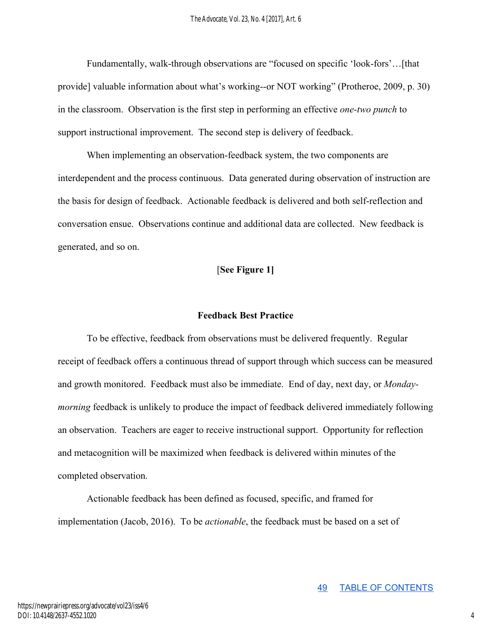Fundamentally, walk-through observations are "focused on specific 'look-fors'…[that provide] valuable information about what's working--or NOT working" (Protheroe, 2009, p. 30) in the classroom. Observation is the first step in performing an effective *one-two punch* to support instructional improvement. The second step is delivery of feedback.

When implementing an observation-feedback system, the two components are interdependent and the process continuous. Data generated during observation of instruction are the basis for design of feedback. Actionable feedback is delivered and both self-reflection and conversation ensue. Observations continue and additional data are collected. New feedback is generated, and so on.

## [**See Figure 1]**

## **Feedback Best Practice**

To be effective, feedback from observations must be delivered frequently. Regular receipt of feedback offers a continuous thread of support through which success can be measured and growth monitored. Feedback must also be immediate. End of day, next day, or *Mondaymorning* feedback is unlikely to produce the impact of feedback delivered immediately following an observation. Teachers are eager to receive instructional support. Opportunity for reflection and metacognition will be maximized when feedback is delivered within minutes of the completed observation.

Actionable feedback has been defined as focused, specific, and framed for implementation (Jacob, 2016). To be *actionable*, the feedback must be based on a set of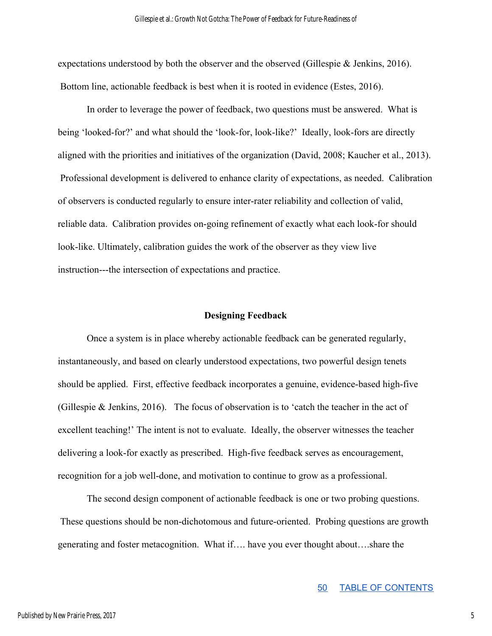expectations understood by both the observer and the observed (Gillespie & Jenkins, 2016). Bottom line, actionable feedback is best when it is rooted in evidence (Estes, 2016).

In order to leverage the power of feedback, two questions must be answered. What is being 'looked-for?' and what should the 'look-for, look-like?' Ideally, look-fors are directly aligned with the priorities and initiatives of the organization (David, 2008; Kaucher et al., 2013). Professional development is delivered to enhance clarity of expectations, as needed. Calibration of observers is conducted regularly to ensure inter-rater reliability and collection of valid, reliable data. Calibration provides on-going refinement of exactly what each look-for should look-like. Ultimately, calibration guides the work of the observer as they view live instruction---the intersection of expectations and practice.

#### **Designing Feedback**

Once a system is in place whereby actionable feedback can be generated regularly, instantaneously, and based on clearly understood expectations, two powerful design tenets should be applied. First, effective feedback incorporates a genuine, evidence-based high-five (Gillespie & Jenkins, 2016). The focus of observation is to 'catch the teacher in the act of excellent teaching!' The intent is not to evaluate. Ideally, the observer witnesses the teacher delivering a look-for exactly as prescribed. High-five feedback serves as encouragement, recognition for a job well-done, and motivation to continue to grow as a professional.

The second design component of actionable feedback is one or two probing questions. These questions should be non-dichotomous and future-oriented. Probing questions are growth generating and foster metacognition. What if…. have you ever thought about….share the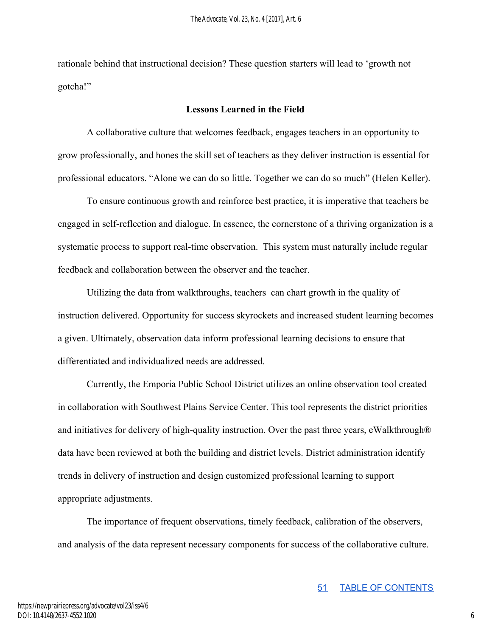rationale behind that instructional decision? These question starters will lead to 'growth not gotcha!"

### **Lessons Learned in the Field**

A collaborative culture that welcomes feedback, engages teachers in an opportunity to grow professionally, and hones the skill set of teachers as they deliver instruction is essential for professional educators. "Alone we can do so little. Together we can do so much" (Helen Keller).

To ensure continuous growth and reinforce best practice, it is imperative that teachers be engaged in self-reflection and dialogue. In essence, the cornerstone of a thriving organization is a systematic process to support real-time observation. This system must naturally include regular feedback and collaboration between the observer and the teacher.

Utilizing the data from walkthroughs, teachers can chart growth in the quality of instruction delivered. Opportunity for success skyrockets and increased student learning becomes a given. Ultimately, observation data inform professional learning decisions to ensure that differentiated and individualized needs are addressed.

Currently, the Emporia Public School District utilizes an online observation tool created in collaboration with Southwest Plains Service Center. This tool represents the district priorities and initiatives for delivery of high-quality instruction. Over the past three years, eWalkthrough® data have been reviewed at both the building and district levels. District administration identify trends in delivery of instruction and design customized professional learning to support appropriate adjustments.

The importance of frequent observations, timely feedback, calibration of the observers, and analysis of the data represent necessary components for success of the collaborative culture.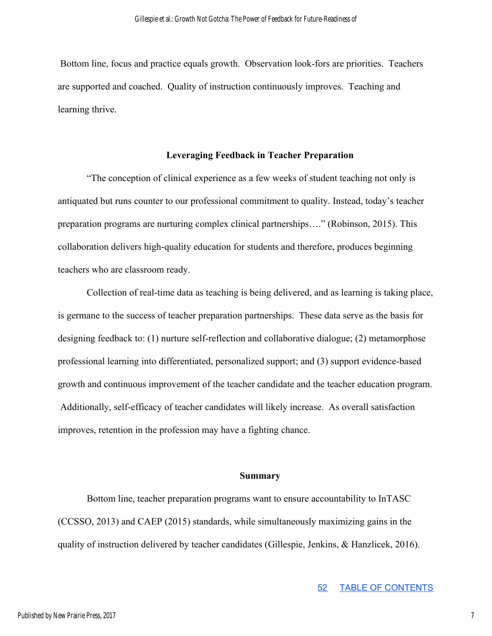Bottom line, focus and practice equals growth. Observation look-fors are priorities. Teachers are supported and coached. Quality of instruction continuously improves. Teaching and learning thrive.

## **Leveraging Feedback in Teacher Preparation**

"The conception of clinical experience as a few weeks of student teaching not only is antiquated but runs counter to our professional commitment to quality. Instead, today's teacher preparation programs are nurturing complex clinical partnerships…." (Robinson, 2015). This collaboration delivers high-quality education for students and therefore, produces beginning teachers who are classroom ready.

Collection of real-time data as teaching is being delivered, and as learning is taking place, is germane to the success of teacher preparation partnerships. These data serve as the basis for designing feedback to: (1) nurture self-reflection and collaborative dialogue; (2) metamorphose professional learning into differentiated, personalized support; and (3) support evidence-based growth and continuous improvement of the teacher candidate and the teacher education program. Additionally, self-efficacy of teacher candidates will likely increase. As overall satisfaction improves, retention in the profession may have a fighting chance.

#### **Summary**

Bottom line, teacher preparation programs want to ensure accountability to InTASC (CCSSO, 2013) and CAEP (2015) standards, while simultaneously maximizing gains in the quality of instruction delivered by teacher candidates (Gillespie, Jenkins, & Hanzlicek, 2016).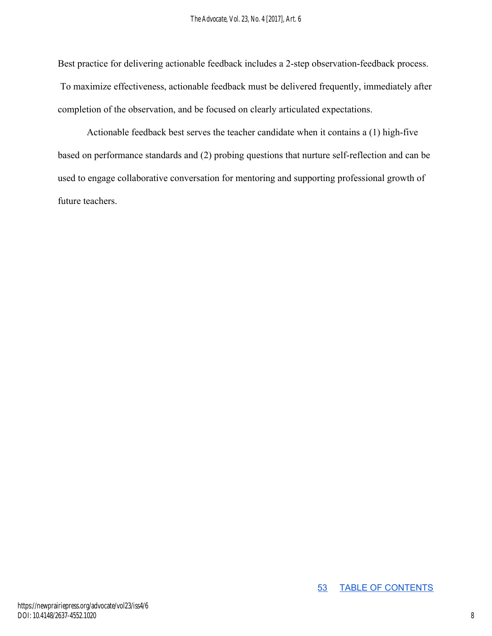Best practice for delivering actionable feedback includes a 2-step observation-feedback process. To maximize effectiveness, actionable feedback must be delivered frequently, immediately after completion of the observation, and be focused on clearly articulated expectations.

Actionable feedback best serves the teacher candidate when it contains a (1) high-five based on performance standards and (2) probing questions that nurture self-reflection and can be used to engage collaborative conversation for mentoring and supporting professional growth of future teachers.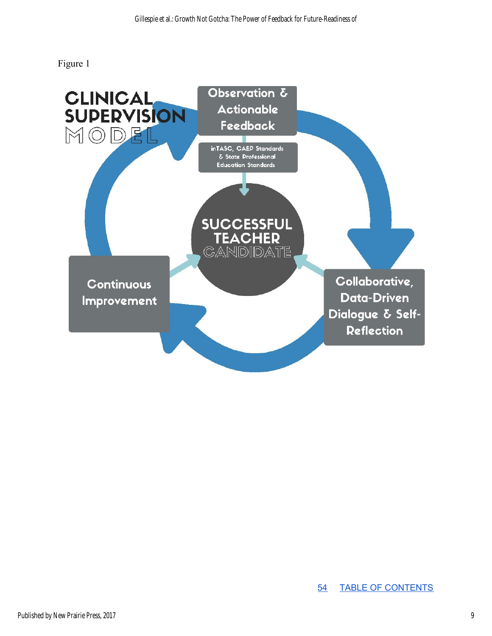Figure 1

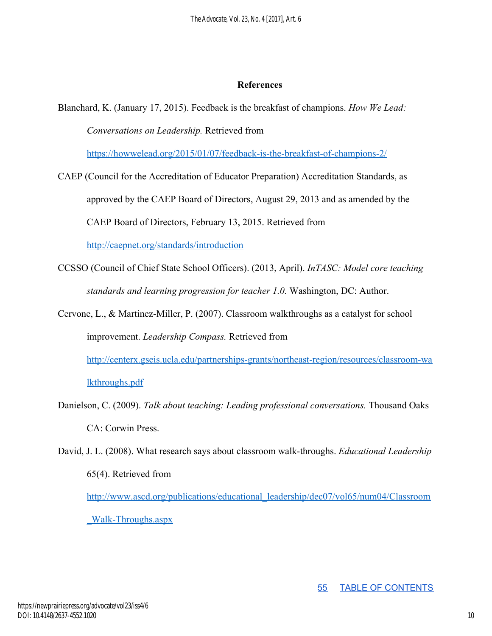## **References**

<https://howwelead.org/2015/01/07/feedback-is-the-breakfast-of-champions-2/>

CAEP (Council for the Accreditation of Educator Preparation) Accreditation Standards, as approved by the CAEP Board of Directors, August 29, 2013 and as amended by the CAEP Board of Directors, February 13, 2015. Retrieved from

<http://caepnet.org/standards/introduction>

- CCSSO (Council of Chief State School Officers). (2013, April). *InTASC: Model core teaching standards and learning progression for teacher 1.0.* Washington, DC: Author.
- Cervone, L., & Martinez-Miller, P. (2007). Classroom walkthroughs as a catalyst for school improvement. *Leadership Compass.* Retrieved from

[http://centerx.gseis.ucla.edu/partnerships-grants/northeast-region/resources/classroom-wa](http://centerx.gseis.ucla.edu/partnerships-grants/northeast-region/resources/classroom-walkthroughs.pdf) [lkthroughs.pdf](http://centerx.gseis.ucla.edu/partnerships-grants/northeast-region/resources/classroom-walkthroughs.pdf)

- Danielson, C. (2009). *Talk about teaching: Leading professional conversations.* Thousand Oaks CA: Corwin Press.
- David, J. L. (2008). What research says about classroom walk-throughs. *Educational Leadership* 65(4). Retrieved from [http://www.ascd.org/publications/educational\\_leadership/dec07/vol65/num04/Classroom](http://www.ascd.org/publications/educational_leadership/dec07/vol65/num04/Classroom_Walk-Throughs.aspx)

[\\_Walk-Throughs.aspx](http://www.ascd.org/publications/educational_leadership/dec07/vol65/num04/Classroom_Walk-Throughs.aspx)

Blanchard, K. (January 17, 2015). Feedback is the breakfast of champions. *How We Lead: Conversations on Leadership.* Retrieved from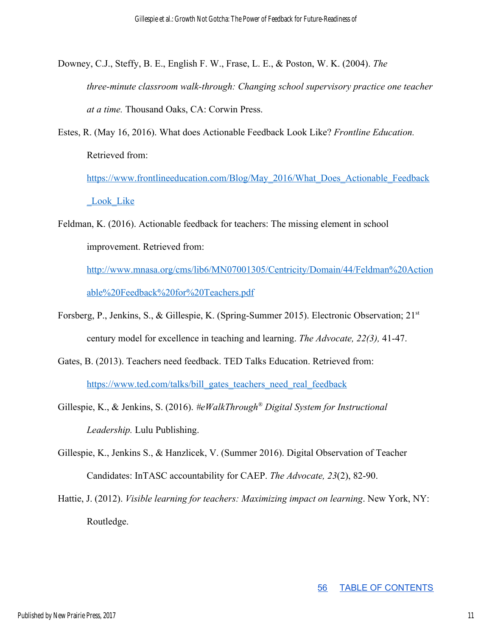- Downey, C.J., Steffy, B. E., English F. W., Frase, L. E., & Poston, W. K. (2004). *The three-minute classroom walk-through: Changing school supervisory practice one teacher at a time.* Thousand Oaks, CA: Corwin Press.
- Estes, R. (May 16, 2016). What does Actionable Feedback Look Like? *Frontline Education.* Retrieved from:

[https://www.frontlineeducation.com/Blog/May\\_2016/What\\_Does\\_Actionable\\_Feedback](https://www.frontlineeducation.com/Blog/May_2016/What_Does_Actionable_Feedback_Look_Like) Look Like

Feldman, K. (2016). Actionable feedback for teachers: The missing element in school improvement. Retrieved from:

[http://www.mnasa.org/cms/lib6/MN07001305/Centricity/Domain/44/Feldman%20Action](http://www.mnasa.org/cms/lib6/MN07001305/Centricity/Domain/44/Feldman%20Actionable%20Feedback%20for%20Teachers.pdf) [able%20Feedback%20for%20Teachers.pdf](http://www.mnasa.org/cms/lib6/MN07001305/Centricity/Domain/44/Feldman%20Actionable%20Feedback%20for%20Teachers.pdf)

- Forsberg, P., Jenkins, S., & Gillespie, K. (Spring-Summer 2015). Electronic Observation; 21<sup>st</sup> century model for excellence in teaching and learning. *The Advocate, 22(3),* 41-47.
- Gates, B. (2013). Teachers need feedback. TED Talks Education. Retrieved from: [https://www.ted.com/talks/bill\\_gates\\_teachers\\_need\\_real\\_feedback](https://www.ted.com/talks/bill_gates_teachers_need_real_feedback)
- Gillespie, K., & Jenkins, S. (2016). *#eWalkThrough® Digital System for Instructional Leadership.* Lulu Publishing.
- Gillespie, K., Jenkins S., & Hanzlicek, V. (Summer 2016). Digital Observation of Teacher Candidates: InTASC accountability for CAEP. *The Advocate, 23*(2), 82-90.

Hattie, J. (2012). *Visible learning for teachers: Maximizing impact on learning*. New York, NY: Routledge.